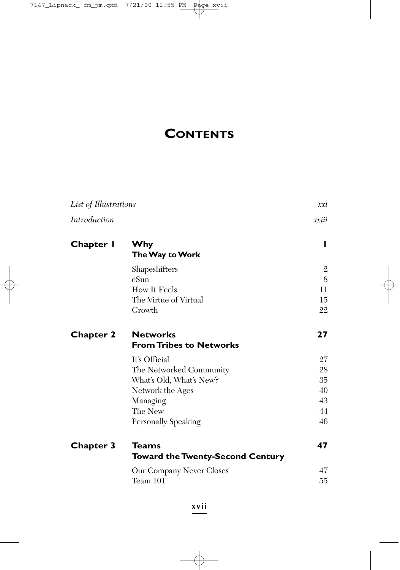## **CONTENTS**

| List of Illustrations |                                                         | xxi          |
|-----------------------|---------------------------------------------------------|--------------|
| <b>Introduction</b>   |                                                         | xxiii        |
| Chapter I             | <b>Why</b><br>The Way to Work                           | п            |
|                       | Shapeshifters                                           | $\mathbf{2}$ |
|                       | $eS$ un                                                 | 8            |
|                       | How It Feels                                            | 11           |
|                       | The Virtue of Virtual                                   | 15           |
|                       | Growth                                                  | 22           |
| <b>Chapter 2</b>      | <b>Networks</b><br><b>From Tribes to Networks</b>       | 27           |
|                       | It's Official                                           | 27           |
|                       | The Networked Community                                 | 28           |
|                       | What's Old, What's New?                                 | 35           |
|                       | Network the Ages                                        | 40           |
|                       | Managing                                                | 43           |
|                       | The New                                                 | 44           |
|                       | Personally Speaking                                     | 46           |
| <b>Chapter 3</b>      | <b>Teams</b><br><b>Toward the Twenty-Second Century</b> | 47           |
|                       | Our Company Never Closes                                | 47           |
|                       | Team 101                                                | 55           |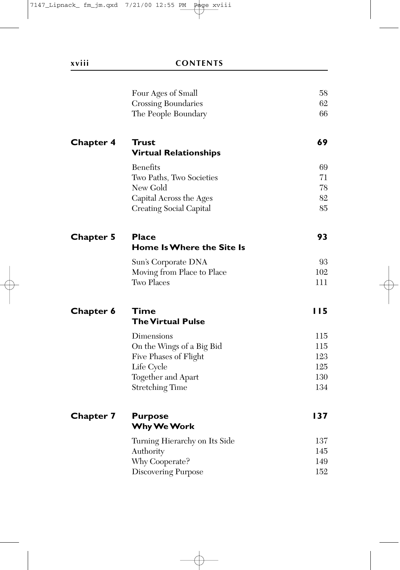|                  | Four Ages of Small            | 58         |
|------------------|-------------------------------|------------|
|                  | Crossing Boundaries           | 62         |
|                  | The People Boundary           | 66         |
| <b>Chapter 4</b> | Trust                         | 69         |
|                  | <b>Virtual Relationships</b>  |            |
|                  | <b>Benefits</b>               | 69         |
|                  | Two Paths, Two Societies      | 71         |
|                  | New Gold                      | 78         |
|                  | Capital Across the Ages       | 82         |
|                  | Creating Social Capital       | 85         |
| <b>Chapter 5</b> | <b>Place</b>                  | 93         |
|                  | Home Is Where the Site Is     |            |
|                  | Sun's Corporate DNA           | 93         |
|                  | Moving from Place to Place    | 102        |
|                  | Two Places                    | 111        |
| <b>Chapter 6</b> | Time                          | 115        |
|                  | <b>The Virtual Pulse</b>      |            |
|                  | Dimensions                    | 115        |
|                  | On the Wings of a Big Bid     | 115        |
|                  | Five Phases of Flight         | 123        |
|                  | Life Cycle                    | 125        |
|                  | Together and Apart            | 130<br>134 |
|                  | <b>Stretching Time</b>        |            |
| <b>Chapter 7</b> | <b>Purpose</b>                | 137        |
|                  | Why We Work                   |            |
|                  | Turning Hierarchy on Its Side | 137        |
|                  | Authority                     | 145        |
|                  | Why Cooperate?                | 149        |
|                  | <b>Discovering Purpose</b>    | 152        |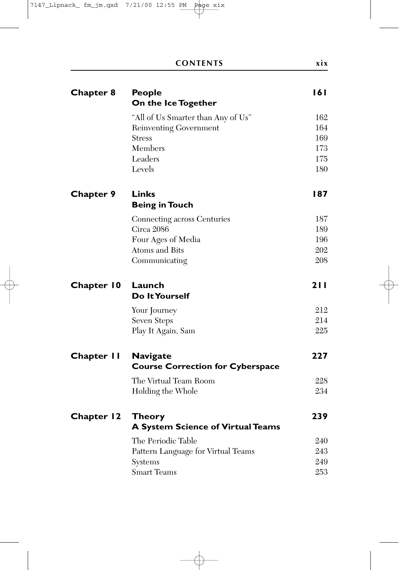| <b>Chapter 8</b>  | <b>People</b><br>On the Ice Together                       | 161        |
|-------------------|------------------------------------------------------------|------------|
|                   | "All of Us Smarter than Any of Us"                         | 162        |
|                   | Reinventing Government                                     | 164        |
|                   | Stress                                                     | 169        |
|                   | Members                                                    | 173        |
|                   | Leaders                                                    | 175        |
|                   | Levels                                                     | 180        |
| <b>Chapter 9</b>  | Links<br><b>Being in Touch</b>                             | 187        |
|                   | Connecting across Centuries                                | 187        |
|                   | Circa 2086                                                 | 189        |
|                   | Four Ages of Media                                         | 196        |
|                   | Atoms and Bits                                             | 202        |
|                   | Communicating                                              | 208        |
| <b>Chapter 10</b> | Launch<br>Do It Yourself                                   | 211        |
|                   | Your Journey                                               | 212        |
|                   | Seven Steps                                                | 214        |
|                   | Play It Again, Sam                                         | 225        |
| <b>Chapter II</b> | <b>Navigate</b><br><b>Course Correction for Cyberspace</b> | 227        |
|                   |                                                            |            |
|                   | The Virtual Team Room<br>Holding the Whole                 | 228<br>234 |
|                   |                                                            |            |
| <b>Chapter 12</b> | Theory<br>A System Science of Virtual Teams                | 239        |
|                   | The Periodic Table                                         | 240        |
|                   | Pattern Language for Virtual Teams                         | 243        |
|                   | Systems                                                    | 249        |
|                   | <b>Smart Teams</b>                                         | 253        |
|                   |                                                            |            |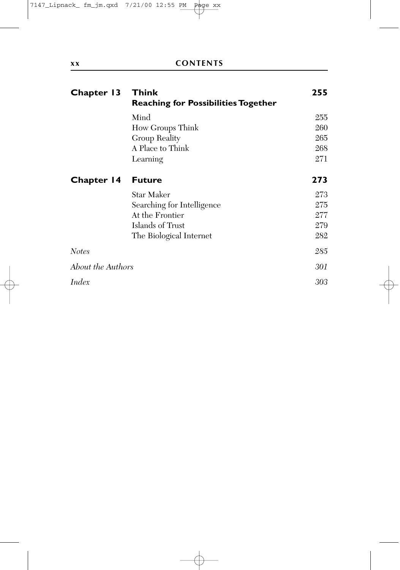| Chapter 13        | <b>Think</b><br><b>Reaching for Possibilities Together</b> | 255 |
|-------------------|------------------------------------------------------------|-----|
|                   | Mind                                                       | 255 |
|                   | How Groups Think                                           | 260 |
|                   | Group Reality                                              | 265 |
|                   | A Place to Think                                           | 268 |
|                   | Learning                                                   | 271 |
| Chapter 14        | <b>Future</b>                                              | 273 |
|                   | Star Maker                                                 | 273 |
|                   | Searching for Intelligence                                 | 275 |
|                   | At the Frontier                                            | 277 |
|                   | Islands of Trust                                           | 279 |
|                   | The Biological Internet                                    | 282 |
| <b>Notes</b>      |                                                            | 285 |
| About the Authors |                                                            | 301 |
| Index             |                                                            | 303 |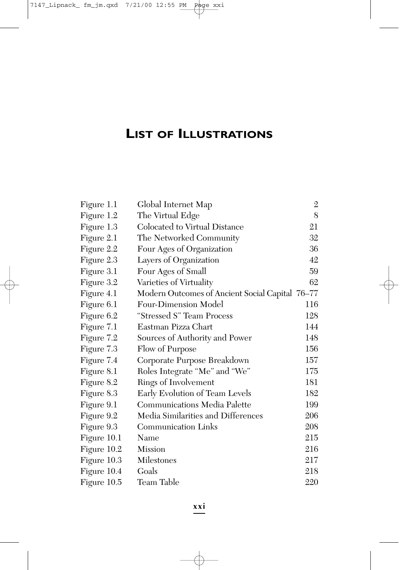## **LIST OF ILLUSTRATIONS**

| Figure 1.1  | Global Internet Map                             | 2   |
|-------------|-------------------------------------------------|-----|
| Figure 1.2  | The Virtual Edge                                | 8   |
| Figure 1.3  | Colocated to Virtual Distance                   | 21  |
| Figure 2.1  | The Networked Community                         | 32  |
| Figure 2.2  | Four Ages of Organization                       | 36  |
| Figure 2.3  | Layers of Organization                          | 42  |
| Figure 3.1  | Four Ages of Small                              | 59  |
| Figure 3.2  | Varieties of Virtuality                         | 62  |
| Figure 4.1  | Modern Outcomes of Ancient Social Capital 76-77 |     |
| Figure 6.1  | Four-Dimension Model                            | 116 |
| Figure 6.2  | "Stressed S" Team Process                       | 128 |
| Figure 7.1  | Eastman Pizza Chart                             | 144 |
| Figure 7.2  | Sources of Authority and Power                  | 148 |
| Figure 7.3  | Flow of Purpose                                 | 156 |
| Figure 7.4  | Corporate Purpose Breakdown                     | 157 |
| Figure 8.1  | Roles Integrate "Me" and "We"                   | 175 |
| Figure 8.2  | Rings of Involvement                            | 181 |
| Figure 8.3  | Early Evolution of Team Levels                  | 182 |
| Figure 9.1  | <b>Communications Media Palette</b>             | 199 |
| Figure 9.2  | Media Similarities and Differences              | 206 |
| Figure 9.3  | <b>Communication Links</b>                      | 208 |
| Figure 10.1 | Name                                            | 215 |
| Figure 10.2 | <b>Mission</b>                                  | 216 |
| Figure 10.3 | Milestones                                      | 217 |
| Figure 10.4 | Goals                                           | 218 |
| Figure 10.5 | Team Table                                      | 220 |